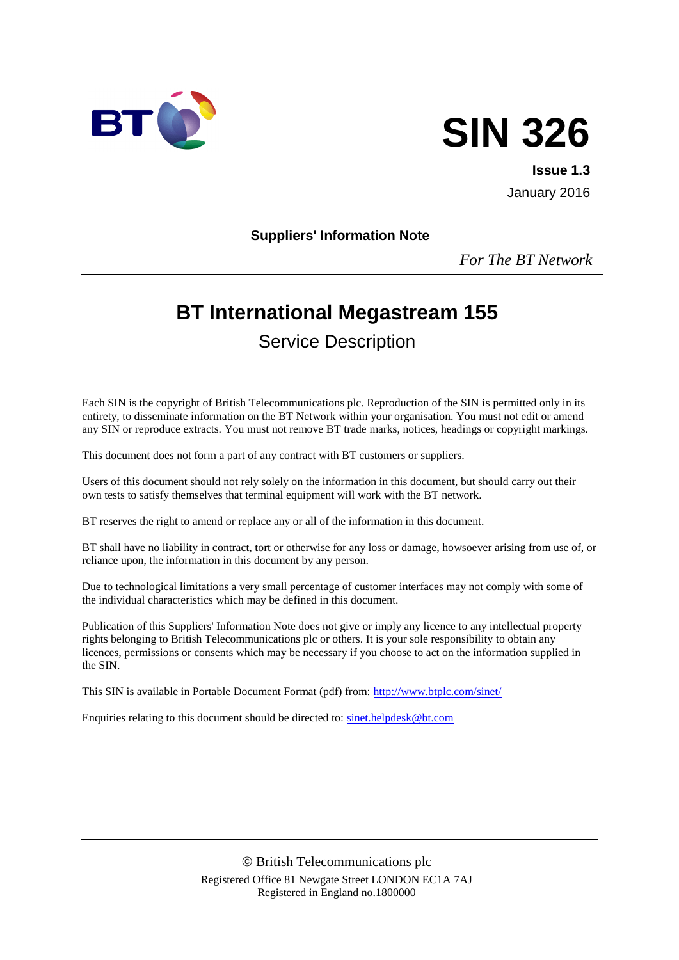



**Issue 1.3** January 2016

#### **Suppliers' Information Note**

*For The BT Network*

# **BT International Megastream 155**

Service Description

Each SIN is the copyright of British Telecommunications plc. Reproduction of the SIN is permitted only in its entirety, to disseminate information on the BT Network within your organisation. You must not edit or amend any SIN or reproduce extracts. You must not remove BT trade marks, notices, headings or copyright markings.

This document does not form a part of any contract with BT customers or suppliers.

Users of this document should not rely solely on the information in this document, but should carry out their own tests to satisfy themselves that terminal equipment will work with the BT network.

BT reserves the right to amend or replace any or all of the information in this document.

BT shall have no liability in contract, tort or otherwise for any loss or damage, howsoever arising from use of, or reliance upon, the information in this document by any person.

Due to technological limitations a very small percentage of customer interfaces may not comply with some of the individual characteristics which may be defined in this document.

Publication of this Suppliers' Information Note does not give or imply any licence to any intellectual property rights belonging to British Telecommunications plc or others. It is your sole responsibility to obtain any licences, permissions or consents which may be necessary if you choose to act on the information supplied in the SIN.

This SIN is available in Portable Document Format (pdf) from:<http://www.btplc.com/sinet/>

Enquiries relating to this document should be directed to: [sinet.helpdesk@bt.com](mailto:sinet.helpdesk@bt.com)

 British Telecommunications plc Registered Office 81 Newgate Street LONDON EC1A 7AJ Registered in England no.1800000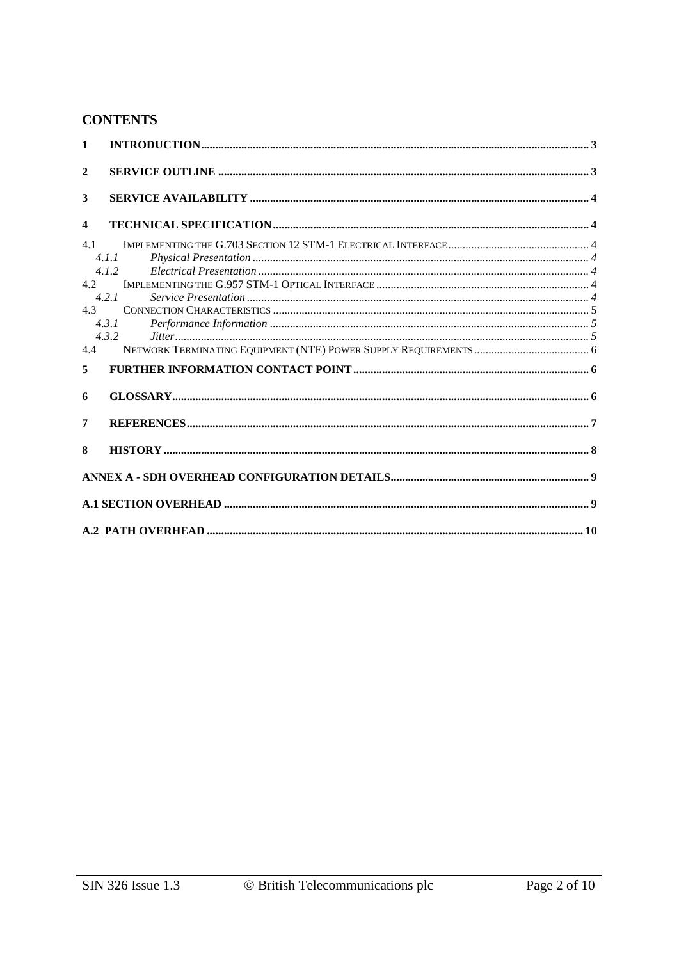## **CONTENTS**

| $\mathbf{1}$            |                |  |
|-------------------------|----------------|--|
| $\mathbf{2}$            |                |  |
| 3                       |                |  |
| $\overline{\mathbf{4}}$ |                |  |
| 41                      | 4.1.1<br>4.1.2 |  |
| 4.2                     | 4.2.1          |  |
| 4.3                     | 4.3.1<br>4.3.2 |  |
| 4.4                     |                |  |
| 5                       |                |  |
| 6                       |                |  |
| 7                       |                |  |
| 8                       |                |  |
|                         |                |  |
|                         |                |  |
|                         |                |  |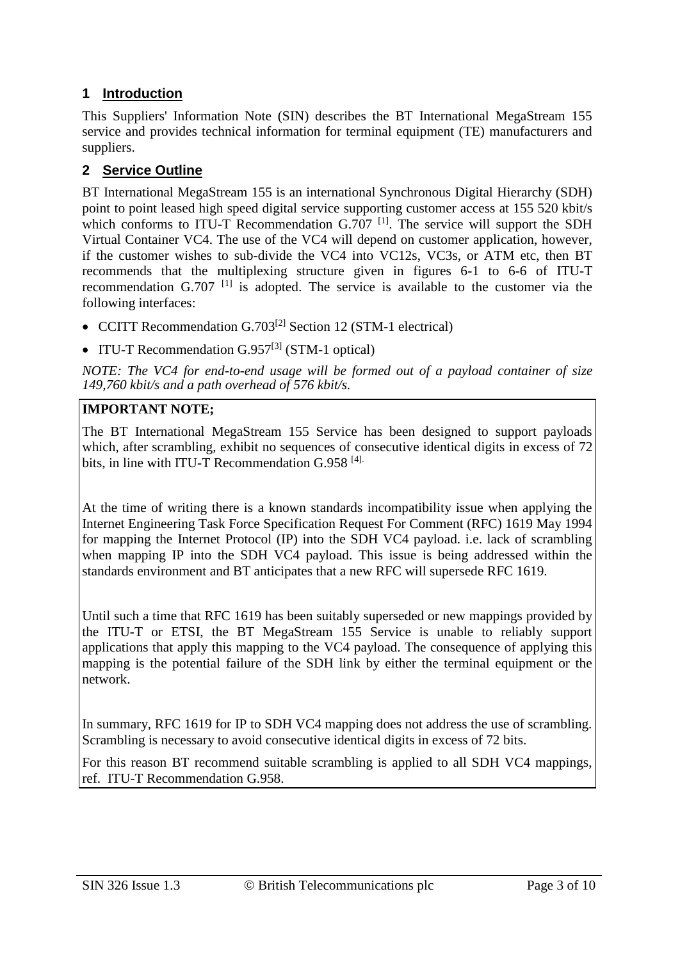## **1 Introduction**

This Suppliers' Information Note (SIN) describes the BT International MegaStream 155 service and provides technical information for terminal equipment (TE) manufacturers and suppliers.

## **2 Service Outline**

BT International MegaStream 155 is an international Synchronous Digital Hierarchy (SDH) point to point leased high speed digital service supporting customer access at 155 520 kbit/s which conforms to ITU-T Recommendation  $G.707$  <sup>[1]</sup>. The service will support the SDH Virtual Container VC4. The use of the VC4 will depend on customer application, however, if the customer wishes to sub-divide the VC4 into VC12s, VC3s, or ATM etc, then BT recommends that the multiplexing structure given in figures 6-1 to 6-6 of ITU-T recommendation G.707<sup>[1]</sup> is adopted. The service is available to the customer via the following interfaces:

- CCITT Recommendation G.703<sup>[2]</sup> Section 12 (STM-1 electrical)
- ITU-T Recommendation  $G.957^{[3]}$  (STM-1 optical)

*NOTE: The VC4 for end-to-end usage will be formed out of a payload container of size 149,760 kbit/s and a path overhead of 576 kbit/s.* 

#### **IMPORTANT NOTE;**

The BT International MegaStream 155 Service has been designed to support payloads which, after scrambling, exhibit no sequences of consecutive identical digits in excess of 72 bits, in line with ITU-T Recommendation G.958 [4].

At the time of writing there is a known standards incompatibility issue when applying the Internet Engineering Task Force Specification Request For Comment (RFC) 1619 May 1994 for mapping the Internet Protocol (IP) into the SDH VC4 payload. i.e. lack of scrambling when mapping IP into the SDH VC4 payload. This issue is being addressed within the standards environment and BT anticipates that a new RFC will supersede RFC 1619.

Until such a time that RFC 1619 has been suitably superseded or new mappings provided by the ITU-T or ETSI, the BT MegaStream 155 Service is unable to reliably support applications that apply this mapping to the VC4 payload. The consequence of applying this mapping is the potential failure of the SDH link by either the terminal equipment or the network.

In summary, RFC 1619 for IP to SDH VC4 mapping does not address the use of scrambling. Scrambling is necessary to avoid consecutive identical digits in excess of 72 bits.

For this reason BT recommend suitable scrambling is applied to all SDH VC4 mappings, ref. ITU-T Recommendation G.958.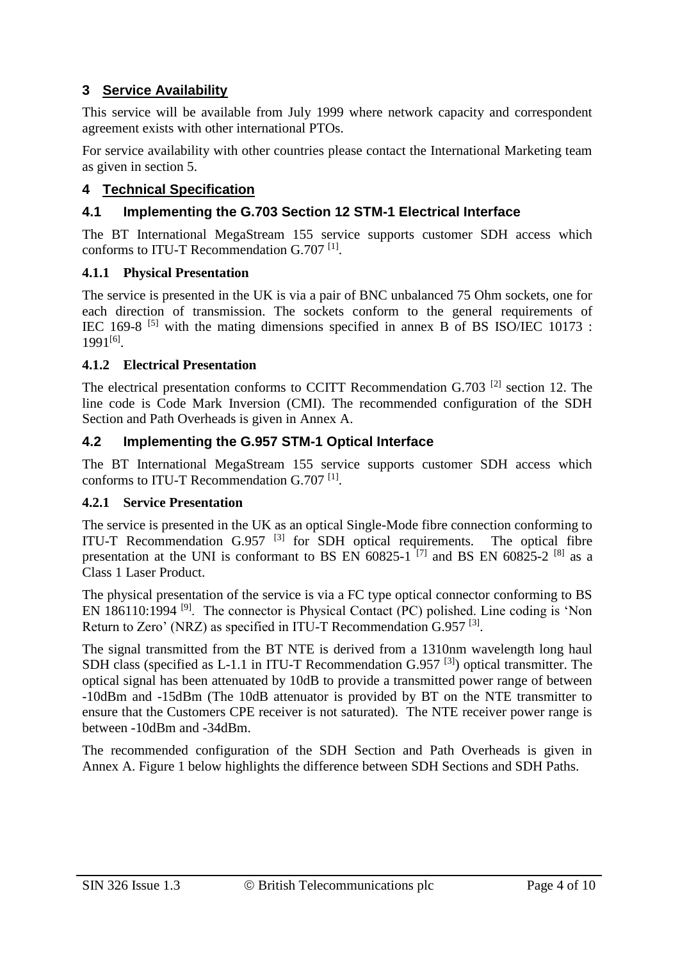## **3 Service Availability**

This service will be available from July 1999 where network capacity and correspondent agreement exists with other international PTOs.

For service availability with other countries please contact the International Marketing team as given in section 5.

## **4 Technical Specification**

## **4.1 Implementing the G.703 Section 12 STM-1 Electrical Interface**

The BT International MegaStream 155 service supports customer SDH access which conforms to ITU-T Recommendation G.707<sup>[1]</sup>.

#### **4.1.1 Physical Presentation**

The service is presented in the UK is via a pair of BNC unbalanced 75 Ohm sockets, one for each direction of transmission. The sockets conform to the general requirements of IEC 169-8 [5] with the mating dimensions specified in annex B of BS ISO/IEC 10173 : 1991[6] .

#### **4.1.2 Electrical Presentation**

The electrical presentation conforms to CCITT Recommendation G.703 [2] section 12. The line code is Code Mark Inversion (CMI). The recommended configuration of the SDH Section and Path Overheads is given in Annex A.

## **4.2 Implementing the G.957 STM-1 Optical Interface**

The BT International MegaStream 155 service supports customer SDH access which conforms to ITU-T Recommendation G.707<sup>[1]</sup>.

## **4.2.1 Service Presentation**

The service is presented in the UK as an optical Single-Mode fibre connection conforming to ITU-T Recommendation G.957 <sup>[3]</sup> for SDH optical requirements. The optical fibre presentation at the UNI is conformant to BS EN  $60825-1$ <sup>[7]</sup> and BS EN  $60825-2$ <sup>[8]</sup> as a Class 1 Laser Product.

The physical presentation of the service is via a FC type optical connector conforming to BS EN 186110:1994 [9]. The connector is Physical Contact (PC) polished. Line coding is 'Non Return to Zero' (NRZ) as specified in ITU-T Recommendation G.957<sup>[3]</sup>.

The signal transmitted from the BT NTE is derived from a 1310nm wavelength long haul SDH class (specified as L-1.1 in ITU-T Recommendation  $G.957$ <sup>[3]</sup>) optical transmitter. The optical signal has been attenuated by 10dB to provide a transmitted power range of between -10dBm and -15dBm (The 10dB attenuator is provided by BT on the NTE transmitter to ensure that the Customers CPE receiver is not saturated). The NTE receiver power range is between -10dBm and -34dBm.

The recommended configuration of the SDH Section and Path Overheads is given in Annex A. Figure 1 below highlights the difference between SDH Sections and SDH Paths.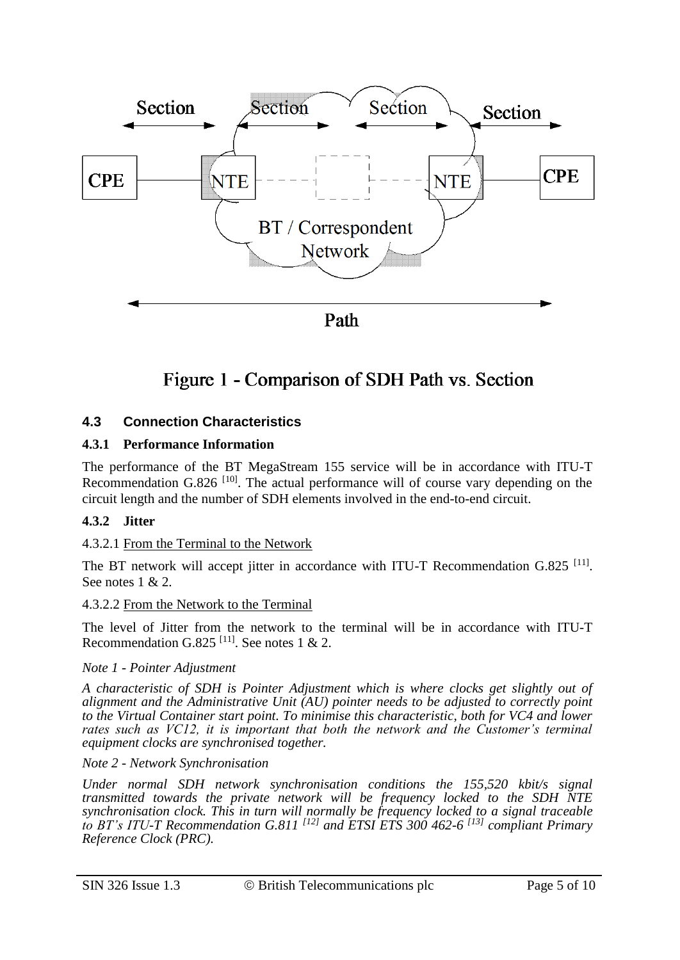

## Figure 1 - Comparison of SDH Path vs. Section

## **4.3 Connection Characteristics**

#### **4.3.1 Performance Information**

The performance of the BT MegaStream 155 service will be in accordance with ITU-T Recommendation G.826<sup> $[10]$ </sup>. The actual performance will of course vary depending on the circuit length and the number of SDH elements involved in the end-to-end circuit.

#### **4.3.2 Jitter**

#### 4.3.2.1 From the Terminal to the Network

The BT network will accept jitter in accordance with ITU-T Recommendation G.825<sup>[11]</sup>. See notes 1 & 2.

#### 4.3.2.2 From the Network to the Terminal

The level of Jitter from the network to the terminal will be in accordance with ITU-T Recommendation G.825<sup>[11]</sup>. See notes 1 & 2.

#### *Note 1 - Pointer Adjustment*

*A characteristic of SDH is Pointer Adjustment which is where clocks get slightly out of alignment and the Administrative Unit (AU) pointer needs to be adjusted to correctly point to the Virtual Container start point. To minimise this characteristic, both for VC4 and lower rates such as VC12, it is important that both the network and the Customer's terminal equipment clocks are synchronised together.*

#### *Note 2 - Network Synchronisation*

*Under normal SDH network synchronisation conditions the 155,520 kbit/s signal transmitted towards the private network will be frequency locked to the SDH NTE synchronisation clock. This in turn will normally be frequency locked to a signal traceable to BT's ITU-T Recommendation G.811 [12] and ETSI ETS 300 462-6 [13] compliant Primary Reference Clock (PRC).*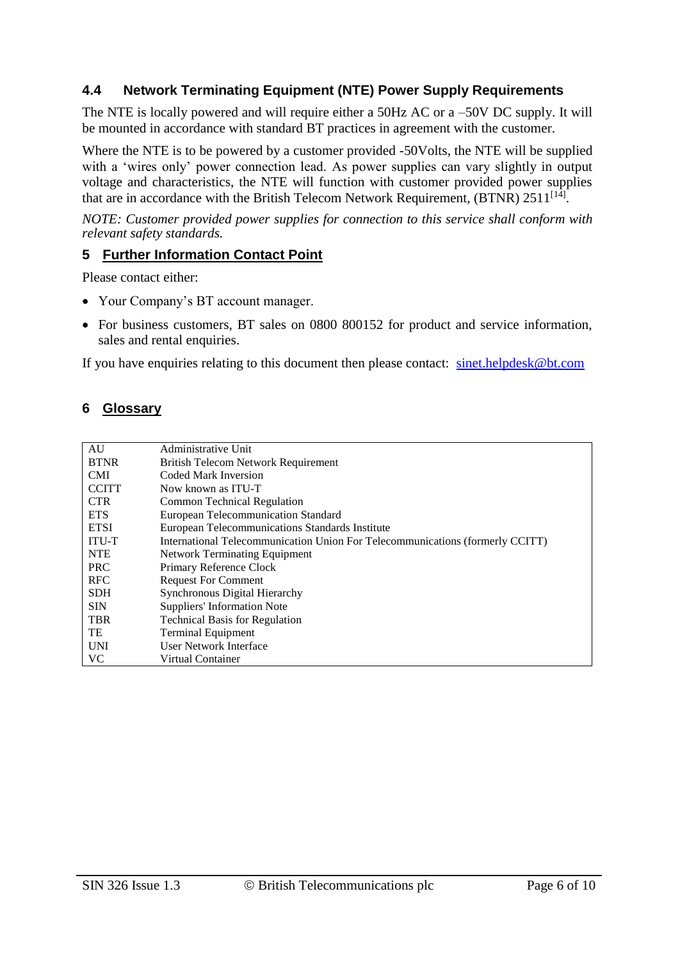## **4.4 Network Terminating Equipment (NTE) Power Supply Requirements**

The NTE is locally powered and will require either a 50Hz AC or a –50V DC supply. It will be mounted in accordance with standard BT practices in agreement with the customer.

Where the NTE is to be powered by a customer provided -50Volts, the NTE will be supplied with a 'wires only' power connection lead. As power supplies can vary slightly in output voltage and characteristics, the NTE will function with customer provided power supplies that are in accordance with the British Telecom Network Requirement, (BTNR) 2511<sup>[14]</sup>.

*NOTE: Customer provided power supplies for connection to this service shall conform with relevant safety standards.*

#### **5 Further Information Contact Point**

Please contact either:

- Your Company's BT account manager.
- For business customers, BT sales on 0800 800152 for product and service information, sales and rental enquiries.

If you have enquiries relating to this document then please contact: [sinet.helpdesk@bt.com](mailto:sinet.helpdesk@bt.com)

#### **6 Glossary**

| AU           | Administrative Unit                                                           |  |  |  |
|--------------|-------------------------------------------------------------------------------|--|--|--|
| <b>BTNR</b>  | <b>British Telecom Network Requirement</b>                                    |  |  |  |
| <b>CMI</b>   | <b>Coded Mark Inversion</b>                                                   |  |  |  |
| <b>CCITT</b> | Now known as ITU-T                                                            |  |  |  |
| CTR.         | Common Technical Regulation                                                   |  |  |  |
| <b>ETS</b>   | <b>European Telecommunication Standard</b>                                    |  |  |  |
| <b>ETSI</b>  | European Telecommunications Standards Institute                               |  |  |  |
| <b>ITU-T</b> | International Telecommunication Union For Telecommunications (formerly CCITT) |  |  |  |
| <b>NTE</b>   | Network Terminating Equipment                                                 |  |  |  |
| <b>PRC</b>   | Primary Reference Clock                                                       |  |  |  |
| <b>RFC</b>   | <b>Request For Comment</b>                                                    |  |  |  |
| <b>SDH</b>   | <b>Synchronous Digital Hierarchy</b>                                          |  |  |  |
| <b>SIN</b>   | Suppliers' Information Note                                                   |  |  |  |
| <b>TBR</b>   | <b>Technical Basis for Regulation</b>                                         |  |  |  |
| TE           | <b>Terminal Equipment</b>                                                     |  |  |  |
| <b>UNI</b>   | User Network Interface                                                        |  |  |  |
| VC.          | Virtual Container                                                             |  |  |  |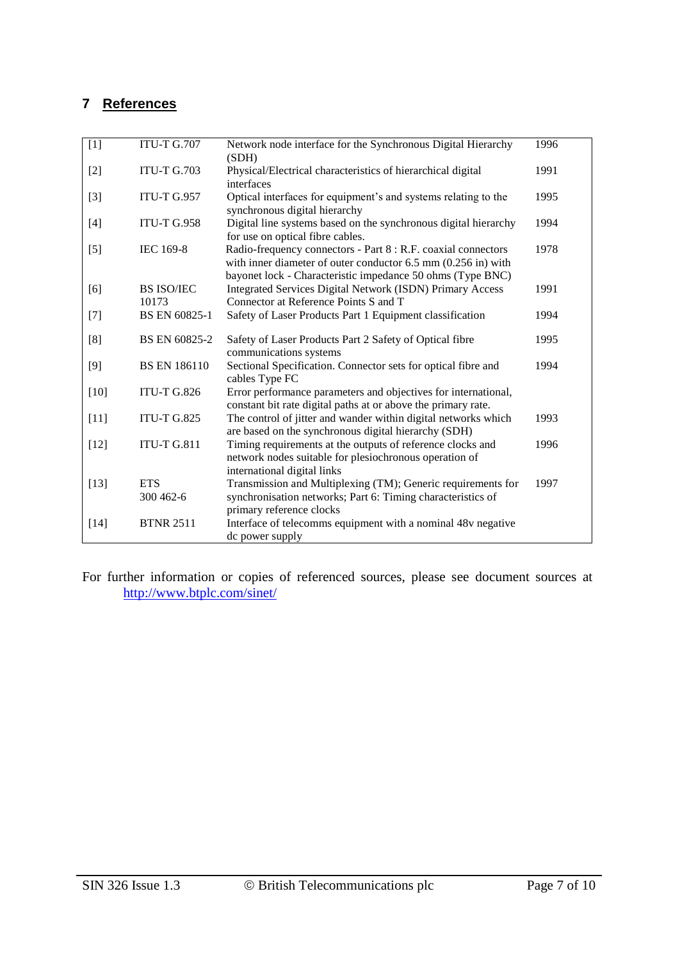## **7 References**

| $[1]$  | <b>ITU-T G.707</b>         | Network node interface for the Synchronous Digital Hierarchy<br>(SDH)                                                                                                                                  | 1996 |
|--------|----------------------------|--------------------------------------------------------------------------------------------------------------------------------------------------------------------------------------------------------|------|
| $[2]$  | <b>ITU-T G.703</b>         | Physical/Electrical characteristics of hierarchical digital<br>interfaces                                                                                                                              | 1991 |
| $[3]$  | <b>ITU-T G.957</b>         | Optical interfaces for equipment's and systems relating to the<br>synchronous digital hierarchy                                                                                                        | 1995 |
| $[4]$  | <b>ITU-T G.958</b>         | Digital line systems based on the synchronous digital hierarchy<br>for use on optical fibre cables.                                                                                                    | 1994 |
| $[5]$  | IEC 169-8                  | Radio-frequency connectors - Part 8 : R.F. coaxial connectors<br>with inner diameter of outer conductor $6.5 \text{ mm}$ (0.256 in) with<br>bayonet lock - Characteristic impedance 50 ohms (Type BNC) | 1978 |
| [6]    | <b>BS ISO/IEC</b><br>10173 | Integrated Services Digital Network (ISDN) Primary Access<br>Connector at Reference Points S and T                                                                                                     | 1991 |
| $[7]$  | <b>BS EN 60825-1</b>       | Safety of Laser Products Part 1 Equipment classification                                                                                                                                               | 1994 |
| [8]    | BS EN 60825-2              | Safety of Laser Products Part 2 Safety of Optical fibre<br>communications systems                                                                                                                      | 1995 |
| $[9]$  | <b>BS EN 186110</b>        | Sectional Specification. Connector sets for optical fibre and<br>cables Type FC                                                                                                                        | 1994 |
| $[10]$ | <b>ITU-T G.826</b>         | Error performance parameters and objectives for international,<br>constant bit rate digital paths at or above the primary rate.                                                                        |      |
| $[11]$ | <b>ITU-T G.825</b>         | The control of jitter and wander within digital networks which<br>are based on the synchronous digital hierarchy (SDH)                                                                                 | 1993 |
| $[12]$ | <b>ITU-T G.811</b>         | Timing requirements at the outputs of reference clocks and<br>network nodes suitable for plesiochronous operation of<br>international digital links                                                    | 1996 |
| $[13]$ | <b>ETS</b><br>300 462-6    | Transmission and Multiplexing (TM); Generic requirements for<br>synchronisation networks; Part 6: Timing characteristics of<br>primary reference clocks                                                | 1997 |
| $[14]$ | <b>BTNR 2511</b>           | Interface of telecomms equipment with a nominal 48v negative<br>dc power supply                                                                                                                        |      |

For further information or copies of referenced sources, please see document sources at <http://www.btplc.com/sinet/>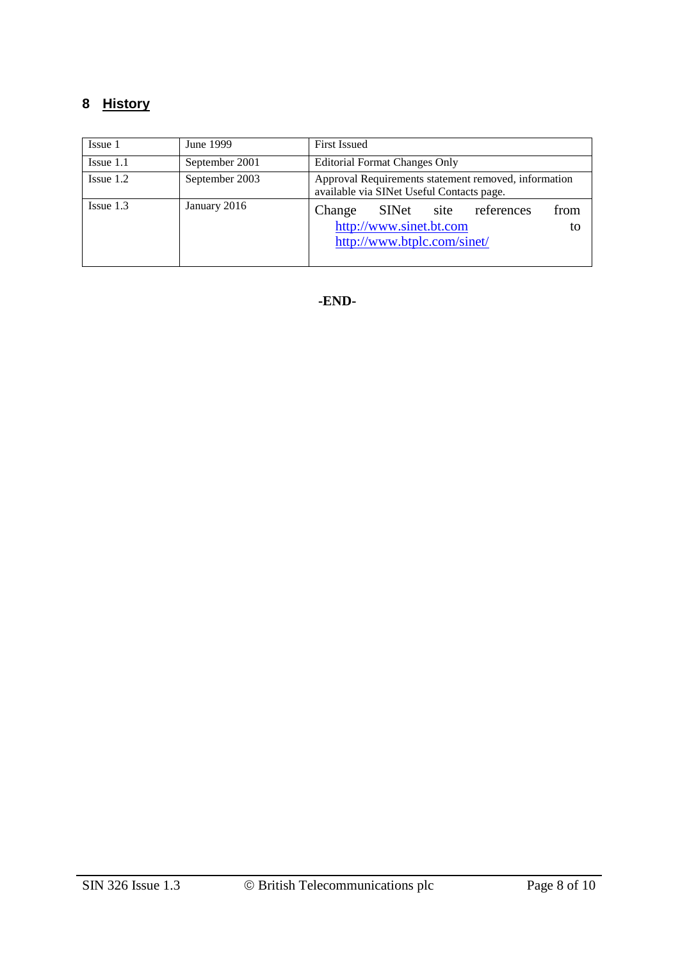## **8 History**

| June 1999<br>Issue 1 |                | <b>First Issued</b>                                                                                        |  |  |  |
|----------------------|----------------|------------------------------------------------------------------------------------------------------------|--|--|--|
| $I$ ssue 1.1         | September 2001 | <b>Editorial Format Changes Only</b>                                                                       |  |  |  |
| $I$ ssue $1.2$       | September 2003 | Approval Requirements statement removed, information<br>available via SINet Useful Contacts page.          |  |  |  |
| $I$ ssue 1.3         | January 2016   | from<br>site references<br>Change<br>SINet<br>http://www.sinet.bt.com<br>to<br>http://www.btplc.com/sinet/ |  |  |  |

**-END-**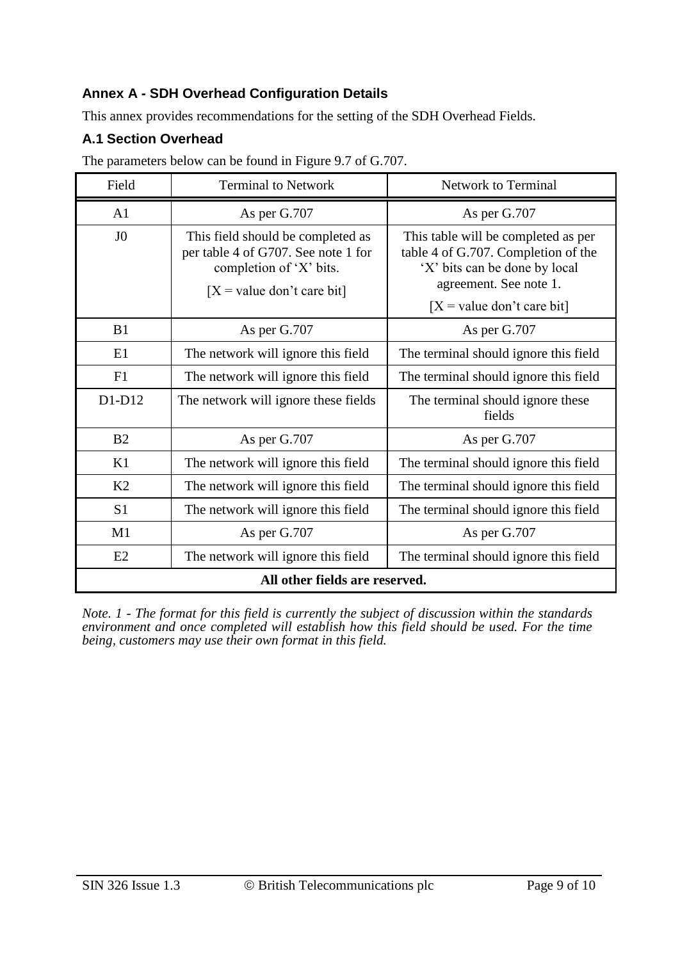## **Annex A - SDH Overhead Configuration Details**

This annex provides recommendations for the setting of the SDH Overhead Fields.

## **A.1 Section Overhead**

The parameters below can be found in Figure 9.7 of G.707.

| Field                          | <b>Terminal to Network</b>                                                                                                          | <b>Network to Terminal</b>                                                                                                                                            |  |  |  |  |
|--------------------------------|-------------------------------------------------------------------------------------------------------------------------------------|-----------------------------------------------------------------------------------------------------------------------------------------------------------------------|--|--|--|--|
| A <sub>1</sub>                 | As per G.707                                                                                                                        | As per G.707                                                                                                                                                          |  |  |  |  |
| J <sub>0</sub>                 | This field should be completed as<br>per table 4 of G707. See note 1 for<br>completion of 'X' bits.<br>$[X = value don't care bit]$ | This table will be completed as per<br>table 4 of G.707. Completion of the<br>'X' bits can be done by local<br>agreement. See note 1.<br>$[X = value don't care bit]$ |  |  |  |  |
| B <sub>1</sub>                 | As per G.707                                                                                                                        | As per G.707                                                                                                                                                          |  |  |  |  |
| E1                             | The network will ignore this field                                                                                                  | The terminal should ignore this field                                                                                                                                 |  |  |  |  |
| F1                             | The network will ignore this field                                                                                                  | The terminal should ignore this field                                                                                                                                 |  |  |  |  |
| $D1-D12$                       | The network will ignore these fields                                                                                                | The terminal should ignore these<br>fields                                                                                                                            |  |  |  |  |
| B <sub>2</sub>                 | As per G.707                                                                                                                        | As per G.707                                                                                                                                                          |  |  |  |  |
| K1                             | The network will ignore this field                                                                                                  | The terminal should ignore this field                                                                                                                                 |  |  |  |  |
| K <sub>2</sub>                 | The network will ignore this field                                                                                                  | The terminal should ignore this field                                                                                                                                 |  |  |  |  |
| S <sub>1</sub>                 | The network will ignore this field                                                                                                  | The terminal should ignore this field                                                                                                                                 |  |  |  |  |
| M1                             | As per G.707                                                                                                                        | As per G.707                                                                                                                                                          |  |  |  |  |
| E2                             | The network will ignore this field                                                                                                  | The terminal should ignore this field                                                                                                                                 |  |  |  |  |
| All other fields are reserved. |                                                                                                                                     |                                                                                                                                                                       |  |  |  |  |

*Note. 1 - The format for this field is currently the subject of discussion within the standards*  environment and once completed will establish how this field should be used. For the time *being, customers may use their own format in this field.*